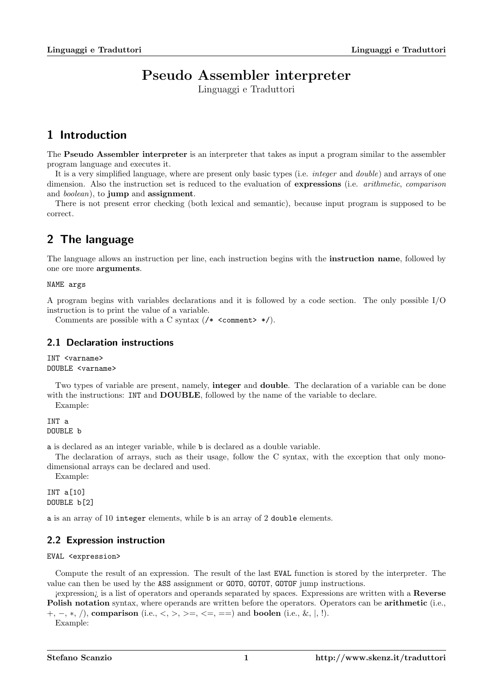# Pseudo Assembler interpreter

Linguaggi e Traduttori

## 1 Introduction

The Pseudo Assembler interpreter is an interpreter that takes as input a program similar to the assembler program language and executes it.

It is a very simplified language, where are present only basic types (i.e. *integer* and *double*) and arrays of one dimension. Also the instruction set is reduced to the evaluation of expressions (i.e. arithmetic, comparison and *boolean*), to jump and **assignment**.

There is not present error checking (both lexical and semantic), because input program is supposed to be correct.

## 2 The language

The language allows an instruction per line, each instruction begins with the instruction name, followed by one ore more arguments.

NAME args

A program begins with variables declarations and it is followed by a code section. The only possible I/O instruction is to print the value of a variable.

Comments are possible with a C syntax  $(\frac{*}{\text{Comment}} \cdot *)$ .

### 2.1 Declaration instructions

INT <varname> DOUBLE <varname>

Two types of variable are present, namely, **integer** and **double**. The declaration of a variable can be done with the instructions: INT and **DOUBLE**, followed by the name of the variable to declare. Example:

INT a

DOUBLE b

a is declared as an integer variable, while b is declared as a double variable.

The declaration of arrays, such as their usage, follow the C syntax, with the exception that only monodimensional arrays can be declared and used.

Example:

INT a[10] DOUBLE b[2]

a is an array of 10 integer elements, while b is an array of 2 double elements.

## 2.2 Expression instruction

EVAL <expression>

Compute the result of an expression. The result of the last EVAL function is stored by the interpreter. The value can then be used by the ASS assignment or GOTO, GOTOT, GOTOF jump instructions.

¡expression¿ is a list of operators and operands separated by spaces. Expressions are written with a Reverse Polish notation syntax, where operands are written before the operators. Operators can be arithmetic (i.e., +, -, \*, /), comparison (i.e., <, >, >=, <=, ==) and boolen (i.e., &, |, !).

Example: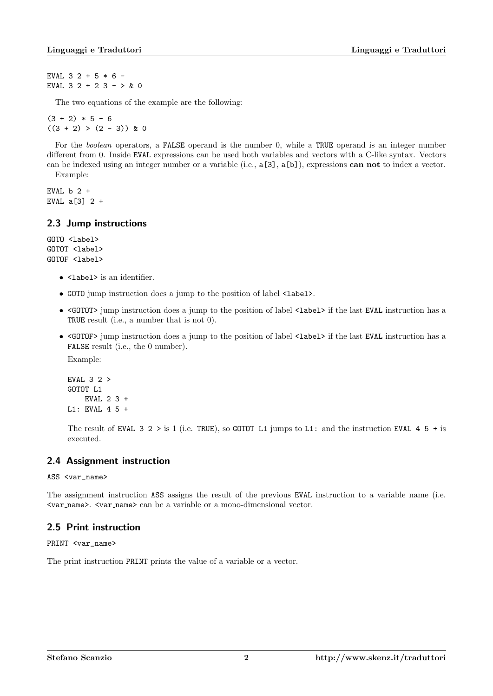EVAL  $3$  2 + 5  $*$  6 -EVAL 3 2 + 2 3 - > & 0

The two equations of the example are the following:

 $(3 + 2) * 5 - 6$  $((3 + 2) > (2 - 3))$  & 0

For the *boolean* operators, a FALSE operand is the number 0, while a TRUE operand is an integer number different from 0. Inside EVAL expressions can be used both variables and vectors with a C-like syntax. Vectors can be indexed using an integer number or a variable (i.e., a[3], a[b]), expressions can not to index a vector. Example:

EVAL  $b$  2 + EVAL  $a[3]$  2 +

### 2.3 Jump instructions

GOTO <label> GOTOT <label> GOTOF <label>

- <label> is an identifier.
- GOTO jump instruction does a jump to the position of label <label>.
- <GOTOT> jump instruction does a jump to the position of label <label> if the last EVAL instruction has a TRUE result (i.e., a number that is not 0).
- <GOTOF> jump instruction does a jump to the position of label <label> if the last EVAL instruction has a FALSE result (i.e., the 0 number).

Example:

```
EVAL 3 2 >
GOTOT L1
    EVAL 2 3 +
L1: EVAL 4 5 +
```
The result of EVAL  $3 \ 2 \ \geq \text{is} \ 1 \text{ (i.e. TRUE)}$ , so GOTOT L1 jumps to L1: and the instruction EVAL  $4 \ 5 \ + \text{is}$ executed.

### 2.4 Assignment instruction

ASS <var\_name>

The assignment instruction ASS assigns the result of the previous EVAL instruction to a variable name (i.e. <var name>. <var name> can be a variable or a mono-dimensional vector.

## 2.5 Print instruction

PRINT <var\_name>

The print instruction PRINT prints the value of a variable or a vector.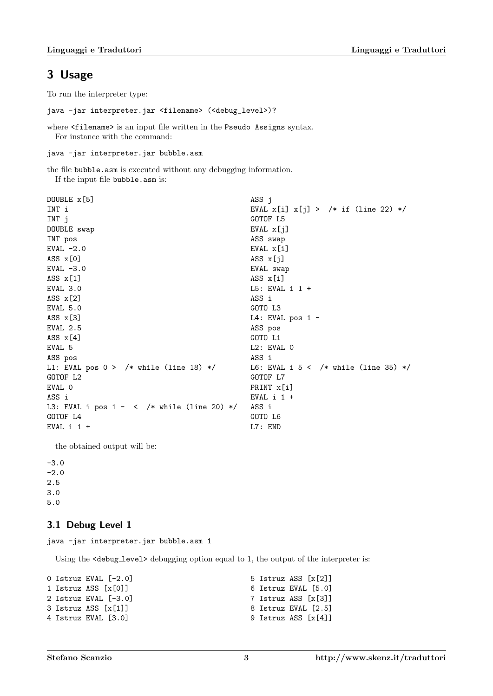## 3 Usage

To run the interpreter type:

java -jar interpreter.jar <filename> (<debug\_level>)?

where <filename> is an input file written in the Pseudo Assigns syntax. For instance with the command:

java -jar interpreter.jar bubble.asm

the file bubble.asm is executed without any debugging information. If the input file bubble.asm is:

| DOUBLE x[5]                                             | ASS j                                   |
|---------------------------------------------------------|-----------------------------------------|
| INT i                                                   | EVAL $x[i]$ $x[j] > /*$ if (line 22) */ |
| INT j                                                   | GOTOF L5                                |
| DOUBLE swap                                             | EVAL $x[j]$                             |
| INT pos                                                 | ASS swap                                |
| EVAL $-2.0$                                             | EVAL x[i]                               |
| ASS x[0]                                                | ASS x[j]                                |
| EVAL $-3.0$                                             | EVAL swap                               |
| ASS x[1]                                                | ASS x[i]                                |
| EVAL 3.0                                                | L5: EVAL i 1 +                          |
| ASS x[2]                                                | ASS i                                   |
| EVAL 5.0                                                | GOTO L3                                 |
| ASS x[3]                                                | L4: EVAL pos $1 -$                      |
| EVAL 2.5                                                | ASS pos                                 |
| ASS x[4]                                                | GOTO L1                                 |
| EVAL 5                                                  | L2: EVAL 0                              |
| ASS pos                                                 | ASS i                                   |
| L1: EVAL pos $0 >$ /* while (line 18) */                | L6: EVAL i 5 < $/*$ while (line 35) */  |
| GOTOF L2                                                | GOTOF L7                                |
| EVAL 0                                                  | PRINT x[i]                              |
| ASS i                                                   | EVAL $i$ 1 +                            |
| L3: EVAL i pos $1 - \langle \rangle$ while (line 20) */ | ASS i                                   |
| GOTOF L4                                                | GOTO L6                                 |
| EVAL i $1 +$                                            | $L7:$ END                               |

the obtained output will be:

-3.0  $-2.0$ 2.5 3.0 5.0

## 3.1 Debug Level 1

java -jar interpreter.jar bubble.asm 1

Using the  $\leq$  debug level  $\geq$  debugging option equal to 1, the output of the interpreter is:

|  | $0$ Istruz EVAL $[-2.0]$ | 5 Istruz ASS [x[2]] |  |
|--|--------------------------|---------------------|--|
|  | 1 Istruz ASS [x[0]]      | 6 Istruz EVAL [5.0] |  |
|  | 2 Istruz EVAL [-3.0]     | 7 Istruz ASS [x[3]] |  |
|  | 3 Istruz ASS [x[1]]      | 8 Istruz EVAL [2.5] |  |
|  | 4 Istruz EVAL [3.0]      | 9 Istruz ASS [x[4]] |  |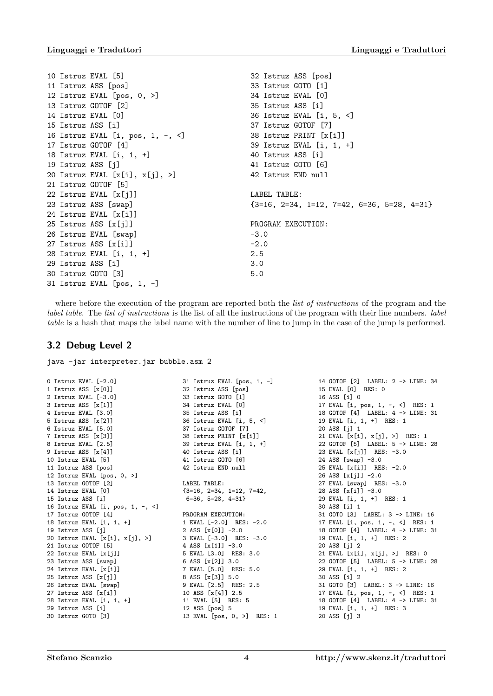|                   | 10 Istruz EVAL [5]                 | 32 Istruz ASS [pos]                            |
|-------------------|------------------------------------|------------------------------------------------|
|                   | 11 Istruz ASS [pos]                | 33 Istruz GOTO [1]                             |
|                   | 12 Istruz EVAL [pos, 0, >]         | 34 Istruz EVAL [0]                             |
|                   | 13 Istruz GOTOF [2]                | 35 Istruz ASS [i]                              |
|                   | 14 Istruz EVAL [0]                 | 36 Istruz EVAL [i, 5, <]                       |
| 15 Istruz ASS [i] |                                    | 37 Istruz GOTOF [7]                            |
|                   | 16 Istruz EVAL $[i, pos, 1, -, <]$ | 38 Istruz PRINT [x[i]]                         |
|                   | 17 Istruz GOTOF [4]                | 39 Istruz EVAL $[i, 1, +]$                     |
|                   | 18 Istruz EVAL $[i, 1, +]$         | 40 Istruz ASS [i]                              |
| 19 Istruz ASS [j] |                                    | 41 Istruz GOTO [6]                             |
|                   | 20 Istruz EVAL $[x[i], x[j], >]$   | 42 Istruz END null                             |
|                   | 21 Istruz GOTOF [5]                |                                                |
|                   | 22 Istruz EVAL [x[j]]              | LABEL TABLE:                                   |
|                   | 23 Istruz ASS [swap]               | $\{3=16, 2=34, 1=12, 7=42, 6=36, 5=28, 4=31\}$ |
|                   | 24 Istruz EVAL [x[i]]              |                                                |
|                   | 25 Istruz ASS [x[j]]               | PROGRAM EXECUTION:                             |
|                   | 26 Istruz EVAL [swap]              | $-3.0$                                         |
|                   | 27 Istruz ASS [x[i]]               | $-2.0$                                         |
|                   | 28 Istruz EVAL $[i, 1, +]$         | 2.5                                            |
| 29 Istruz ASS [i] |                                    | 3.0                                            |
|                   | 30 Istruz GOTO [3]                 | 5.0                                            |
|                   | 31 Istruz EVAL [pos, 1, -]         |                                                |
|                   |                                    |                                                |

where before the execution of the program are reported both the *list of instructions* of the program and the label table. The list of instructions is the list of all the instructions of the program with their line numbers. label table is a hash that maps the label name with the number of line to jump in the case of the jump is performed.

#### 3.2 Debug Level 2

java -jar interpreter.jar bubble.asm 2

0 Istruz EVAL [-2.0] 1 Istruz ASS [x[0]] 2 Istruz EVAL [-3.0] 3 Istruz ASS [x[1]] 4 Istruz EVAL [3.0] 5 Istruz ASS [x[2]] 6 Istruz EVAL [5.0] 7 Istruz ASS [x[3]] 8 Istruz EVAL [2.5] 9 Istruz ASS [x[4]] 10 Istruz EVAL [5] 11 Istruz ASS [pos] 12 Istruz EVAL [pos, 0, >] 13 Istruz GOTOF [2] 14 Istruz EVAL [0] 15 Istruz ASS [i] 16 Istruz EVAL [i, pos, 1, -, <] 17 Istruz GOTOF [4] 18 Istruz EVAL [i, 1, +] 19 Istruz ASS [j] 20 Istruz EVAL [x[i], x[j], >] 21 Istruz GOTOF [5] 22 Istruz EVAL [x[j]] 23 Istruz ASS [swap] 24 Istruz EVAL [x[i]] 25 Istruz ASS [x[j]] 26 Istruz EVAL [swap] 27 Istruz ASS [x[i]] 28 Istruz EVAL [i, 1, +] 29 Istruz ASS [i] 30 Istruz GOTO [3] 31 Istruz EVAL [pos, 1, -] 32 Istruz ASS [pos] 33 Istruz GOTO [1] 34 Istruz EVAL [0] 35 Istruz ASS [i] 36 Istruz EVAL [i, 5, <] 37 Istruz GOTOF [7] 38 Istruz PRINT [x[i]] 39 Istruz EVAL [i, 1, +] 40 Istruz ASS [i] 41 Istruz GOTO [6] 42 Istruz END null LABEL TABLE: {3=16, 2=34, 1=12, 7=42, 6=36, 5=28, 4=31} PROGRAM EXECUTION: 1 EVAL [-2.0] RES: -2.0 2 ASS [x[0]] -2.0 3 EVAL [-3.0] RES: -3.0 4 ASS [x[1]] -3.0 5 EVAL [3.0] RES: 3.0 6 ASS [x[2]] 3.0 7 EVAL [5.0] RES: 5.0 8 ASS [x[3]] 5.0 9 EVAL [2.5] RES: 2.5 10 ASS [x[4]] 2.5 11 EVAL [5] RES: 5 12 ASS [pos] 5 13 EVAL [pos, 0, >] RES: 1 14 GOTOF [2] LABEL: 2 -> LINE: 34 15 EVAL [0] RES: 0 16 ASS [i] 0 17 EVAL [i, pos, 1, -, <] RES: 1 18 GOTOF [4] LABEL: 4 -> LINE: 31 19 EVAL [i, 1, +] RES: 1 20 ASS [j] 1 21 EVAL [x[i], x[j], >] RES: 1 22 GOTOF [5] LABEL: 5 -> LINE: 28 23 EVAL [x[j]] RES: -3.0 24 ASS [swap] -3.0 25 EVAL [x[i]] RES: -2.0 26 ASS [x[j]] -2.0 27 EVAL [swap] RES: -3.0 28 ASS [x[i]] -3.0 29 EVAL [i, 1, +] RES: 1 30 ASS [i] 1 31 GOTO [3] LABEL: 3 -> LINE: 16 17 EVAL [i, pos, 1, -, <] RES: 1 18 GOTOF [4] LABEL: 4 -> LINE: 31 19 EVAL [i, 1, +] RES: 2 20 ASS [j] 2 21 EVAL [x[i], x[j], >] RES: 0 22 GOTOF [5] LABEL: 5 -> LINE: 28 29 EVAL [i, 1, +] RES: 2 30 ASS [i] 2 31 GOTO [3] LABEL: 3 -> LINE: 16 17 EVAL [i, pos, 1, -, <] RES: 1 18 GOTOF [4] LABEL: 4 -> LINE: 31 19 EVAL [i, 1, +] RES: 3 20 ASS [j] 3